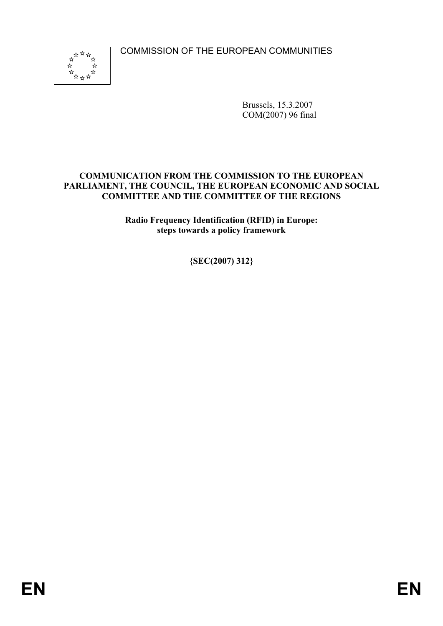COMMISSION OF THE EUROPEAN COMMUNITIES



Brussels, 15.3.2007 COM(2007) 96 final

#### **COMMUNICATION FROM THE COMMISSION TO THE EUROPEAN PARLIAMENT, THE COUNCIL, THE EUROPEAN ECONOMIC AND SOCIAL COMMITTEE AND THE COMMITTEE OF THE REGIONS**

**Radio Frequency Identification (RFID) in Europe: steps towards a policy framework** 

**{SEC(2007) 312}**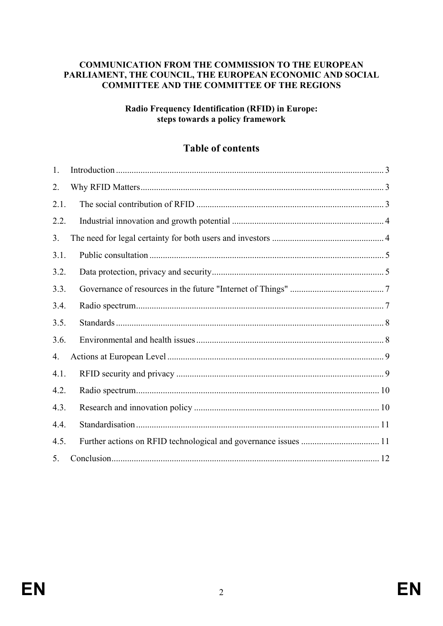#### **COMMUNICATION FROM THE COMMISSION TO THE EUROPEAN PARLIAMENT, THE COUNCIL, THE EUROPEAN ECONOMIC AND SOCIAL COMMITTEE AND THE COMMITTEE OF THE REGIONS**

#### **Radio Frequency Identification (RFID) in Europe: steps towards a policy framework**

# **Table of contents**

| 1.   |  |
|------|--|
| 2.   |  |
| 2.1. |  |
| 2.2. |  |
| 3.   |  |
| 3.1. |  |
| 3.2. |  |
| 3.3. |  |
| 3.4. |  |
| 3.5. |  |
| 3.6. |  |
| 4.   |  |
| 4.1. |  |
| 4.2. |  |
| 4.3. |  |
| 4.4. |  |
| 4.5. |  |
| 5.   |  |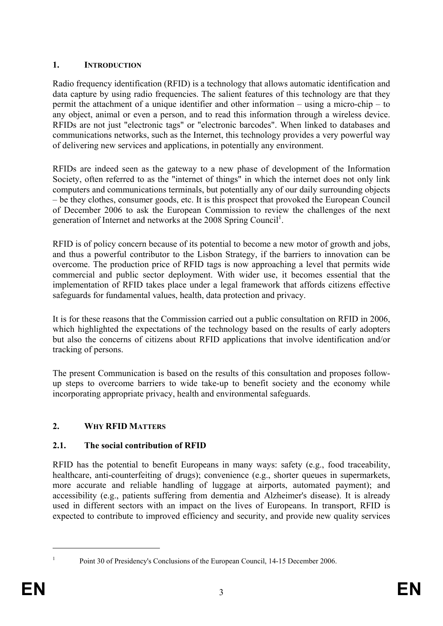### **1. INTRODUCTION**

Radio frequency identification (RFID) is a technology that allows automatic identification and data capture by using radio frequencies. The salient features of this technology are that they permit the attachment of a unique identifier and other information – using a micro-chip – to any object, animal or even a person, and to read this information through a wireless device. RFIDs are not just "electronic tags" or "electronic barcodes". When linked to databases and communications networks, such as the Internet, this technology provides a very powerful way of delivering new services and applications, in potentially any environment.

RFIDs are indeed seen as the gateway to a new phase of development of the Information Society, often referred to as the "internet of things" in which the internet does not only link computers and communications terminals, but potentially any of our daily surrounding objects – be they clothes, consumer goods, etc. It is this prospect that provoked the European Council of December 2006 to ask the European Commission to review the challenges of the next generation of Internet and networks at the 2008 Spring Council<sup>1</sup>.

RFID is of policy concern because of its potential to become a new motor of growth and jobs, and thus a powerful contributor to the Lisbon Strategy, if the barriers to innovation can be overcome. The production price of RFID tags is now approaching a level that permits wide commercial and public sector deployment. With wider use, it becomes essential that the implementation of RFID takes place under a legal framework that affords citizens effective safeguards for fundamental values, health, data protection and privacy.

It is for these reasons that the Commission carried out a public consultation on RFID in 2006, which highlighted the expectations of the technology based on the results of early adopters but also the concerns of citizens about RFID applications that involve identification and/or tracking of persons.

The present Communication is based on the results of this consultation and proposes followup steps to overcome barriers to wide take-up to benefit society and the economy while incorporating appropriate privacy, health and environmental safeguards.

## **2. WHY RFID MATTERS**

## **2.1. The social contribution of RFID**

RFID has the potential to benefit Europeans in many ways: safety (e.g., food traceability, healthcare, anti-counterfeiting of drugs); convenience (e.g., shorter queues in supermarkets, more accurate and reliable handling of luggage at airports, automated payment); and accessibility (e.g., patients suffering from dementia and Alzheimer's disease). It is already used in different sectors with an impact on the lives of Europeans. In transport, RFID is expected to contribute to improved efficiency and security, and provide new quality services

1

1

Point 30 of Presidency's Conclusions of the European Council, 14-15 December 2006.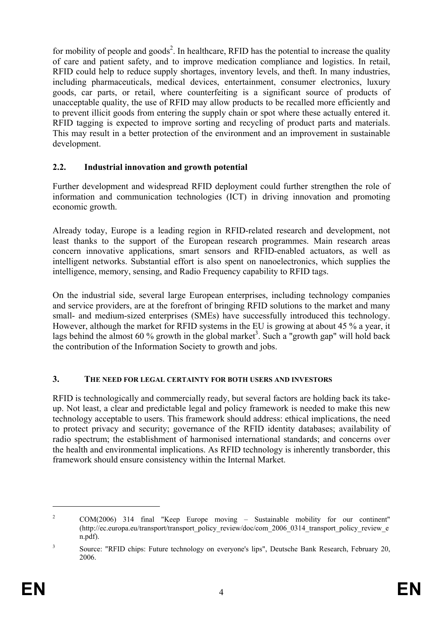for mobility of people and goods<sup>2</sup>. In healthcare, RFID has the potential to increase the quality of care and patient safety, and to improve medication compliance and logistics. In retail, RFID could help to reduce supply shortages, inventory levels, and theft. In many industries, including pharmaceuticals, medical devices, entertainment, consumer electronics, luxury goods, car parts, or retail, where counterfeiting is a significant source of products of unacceptable quality, the use of RFID may allow products to be recalled more efficiently and to prevent illicit goods from entering the supply chain or spot where these actually entered it. RFID tagging is expected to improve sorting and recycling of product parts and materials. This may result in a better protection of the environment and an improvement in sustainable development.

#### **2.2. Industrial innovation and growth potential**

Further development and widespread RFID deployment could further strengthen the role of information and communication technologies (ICT) in driving innovation and promoting economic growth.

Already today, Europe is a leading region in RFID-related research and development, not least thanks to the support of the European research programmes. Main research areas concern innovative applications, smart sensors and RFID-enabled actuators, as well as intelligent networks. Substantial effort is also spent on nanoelectronics, which supplies the intelligence, memory, sensing, and Radio Frequency capability to RFID tags.

On the industrial side, several large European enterprises, including technology companies and service providers, are at the forefront of bringing RFID solutions to the market and many small- and medium-sized enterprises (SMEs) have successfully introduced this technology. However, although the market for RFID systems in the EU is growing at about 45 % a year, it lags behind the almost 60 % growth in the global market<sup>3</sup>. Such a "growth gap" will hold back the contribution of the Information Society to growth and jobs.

#### **3. THE NEED FOR LEGAL CERTAINTY FOR BOTH USERS AND INVESTORS**

RFID is technologically and commercially ready, but several factors are holding back its takeup. Not least, a clear and predictable legal and policy framework is needed to make this new technology acceptable to users. This framework should address: ethical implications, the need to protect privacy and security; governance of the RFID identity databases; availability of radio spectrum; the establishment of harmonised international standards; and concerns over the health and environmental implications. As RFID technology is inherently transborder, this framework should ensure consistency within the Internal Market.

<sup>2</sup> COM(2006) 314 final "Keep Europe moving – Sustainable mobility for our continent" (http://ec.europa.eu/transport/transport\_policy\_review/doc/com\_2006\_0314\_transport\_policy\_review\_e n.pdf).

<sup>3</sup> Source: "RFID chips: Future technology on everyone's lips", Deutsche Bank Research, February 20, 2006.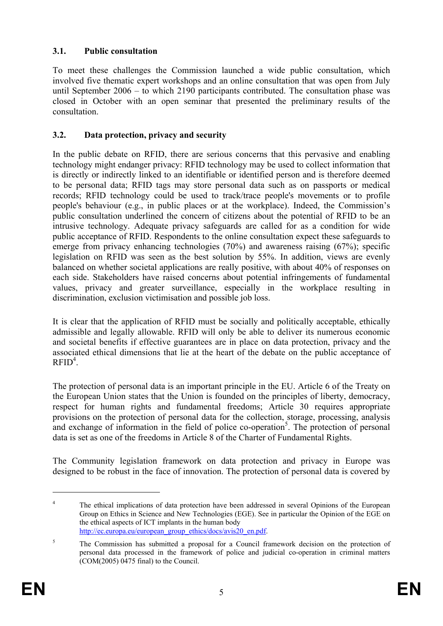## **3.1. Public consultation**

To meet these challenges the Commission launched a wide public consultation, which involved five thematic expert workshops and an online consultation that was open from July until September 2006 – to which 2190 participants contributed. The consultation phase was closed in October with an open seminar that presented the preliminary results of the consultation.

#### **3.2. Data protection, privacy and security**

In the public debate on RFID, there are serious concerns that this pervasive and enabling technology might endanger privacy: RFID technology may be used to collect information that is directly or indirectly linked to an identifiable or identified person and is therefore deemed to be personal data; RFID tags may store personal data such as on passports or medical records; RFID technology could be used to track/trace people's movements or to profile people's behaviour (e.g., in public places or at the workplace). Indeed, the Commission's public consultation underlined the concern of citizens about the potential of RFID to be an intrusive technology. Adequate privacy safeguards are called for as a condition for wide public acceptance of RFID. Respondents to the online consultation expect these safeguards to emerge from privacy enhancing technologies (70%) and awareness raising (67%); specific legislation on RFID was seen as the best solution by 55%. In addition, views are evenly balanced on whether societal applications are really positive, with about 40% of responses on each side. Stakeholders have raised concerns about potential infringements of fundamental values, privacy and greater surveillance, especially in the workplace resulting in discrimination, exclusion victimisation and possible job loss.

It is clear that the application of RFID must be socially and politically acceptable, ethically admissible and legally allowable. RFID will only be able to deliver its numerous economic and societal benefits if effective guarantees are in place on data protection, privacy and the associated ethical dimensions that lie at the heart of the debate on the public acceptance of  $RFID<sup>4</sup>$ .

The protection of personal data is an important principle in the EU. Article 6 of the Treaty on the European Union states that the Union is founded on the principles of liberty, democracy, respect for human rights and fundamental freedoms; Article 30 requires appropriate provisions on the protection of personal data for the collection, storage, processing, analysis and exchange of information in the field of police co-operation<sup>5</sup>. The protection of personal data is set as one of the freedoms in Article 8 of the Charter of Fundamental Rights.

The Community legislation framework on data protection and privacy in Europe was designed to be robust in the face of innovation. The protection of personal data is covered by

1

<sup>&</sup>lt;sup>4</sup> The ethical implications of data protection have been addressed in several Opinions of the European Group on Ethics in Science and New Technologies (EGE). See in particular the Opinion of the EGE on the ethical aspects of ICT implants in the human body http://ec.europa.eu/european\_group\_ethics/docs/avis20\_en.pdf.

<sup>5</sup> The Commission has submitted a proposal for a Council framework decision on the protection of personal data processed in the framework of police and judicial co-operation in criminal matters (COM(2005) 0475 final) to the Council.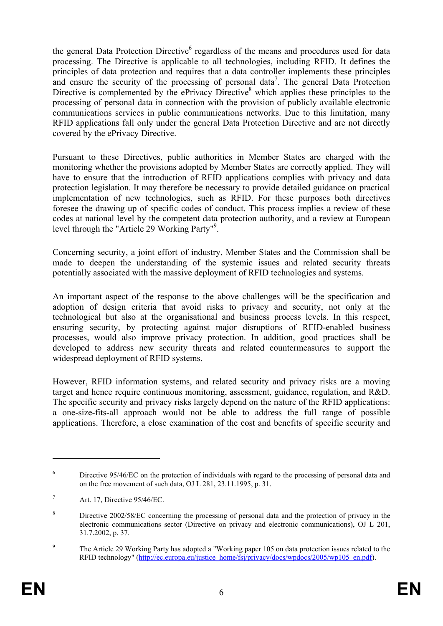the general Data Protection Directive<sup>6</sup> regardless of the means and procedures used for data processing. The Directive is applicable to all technologies, including RFID. It defines the principles of data protection and requires that a data controller implements these principles and ensure the security of the processing of personal data<sup>7</sup>. The general Data Protection Directive is complemented by the ePrivacy Directive<sup>8</sup> which applies these principles to the processing of personal data in connection with the provision of publicly available electronic communications services in public communications networks. Due to this limitation, many RFID applications fall only under the general Data Protection Directive and are not directly covered by the ePrivacy Directive.

Pursuant to these Directives, public authorities in Member States are charged with the monitoring whether the provisions adopted by Member States are correctly applied. They will have to ensure that the introduction of RFID applications complies with privacy and data protection legislation. It may therefore be necessary to provide detailed guidance on practical implementation of new technologies, such as RFID. For these purposes both directives foresee the drawing up of specific codes of conduct. This process implies a review of these codes at national level by the competent data protection authority, and a review at European level through the "Article 29 Working Party"9 .

Concerning security, a joint effort of industry, Member States and the Commission shall be made to deepen the understanding of the systemic issues and related security threats potentially associated with the massive deployment of RFID technologies and systems.

An important aspect of the response to the above challenges will be the specification and adoption of design criteria that avoid risks to privacy and security, not only at the technological but also at the organisational and business process levels. In this respect, ensuring security, by protecting against major disruptions of RFID-enabled business processes, would also improve privacy protection. In addition, good practices shall be developed to address new security threats and related countermeasures to support the widespread deployment of RFID systems.

However, RFID information systems, and related security and privacy risks are a moving target and hence require continuous monitoring, assessment, guidance, regulation, and R&D. The specific security and privacy risks largely depend on the nature of the RFID applications: a one-size-fits-all approach would not be able to address the full range of possible applications. Therefore, a close examination of the cost and benefits of specific security and

<sup>6</sup> Directive 95/46/EC on the protection of individuals with regard to the processing of personal data and on the free movement of such data, OJ L 281, 23.11.1995, p. 31.

<sup>7</sup> Art. 17, Directive 95/46/EC.

<sup>8</sup> Directive 2002/58/EC concerning the processing of personal data and the protection of privacy in the electronic communications sector (Directive on privacy and electronic communications), OJ L 201, 31.7.2002, p. 37.

<sup>9</sup> The Article 29 Working Party has adopted a "Working paper 105 on data protection issues related to the RFID technology" (http://ec.europa.eu/justice\_home/fsj/privacy/docs/wpdocs/2005/wp105\_en.pdf).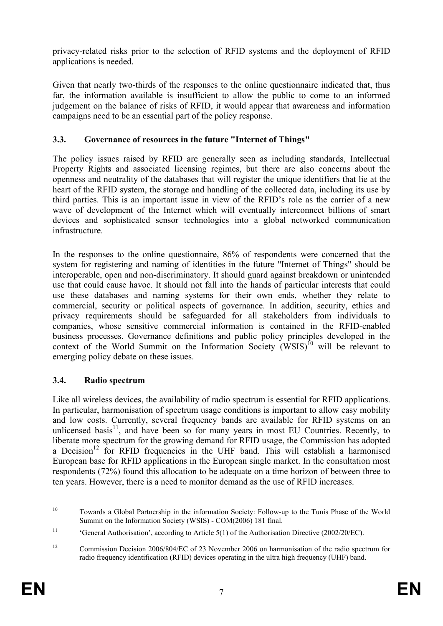privacy-related risks prior to the selection of RFID systems and the deployment of RFID applications is needed.

Given that nearly two-thirds of the responses to the online questionnaire indicated that, thus far, the information available is insufficient to allow the public to come to an informed judgement on the balance of risks of RFID, it would appear that awareness and information campaigns need to be an essential part of the policy response.

## **3.3. Governance of resources in the future "Internet of Things"**

The policy issues raised by RFID are generally seen as including standards, Intellectual Property Rights and associated licensing regimes, but there are also concerns about the openness and neutrality of the databases that will register the unique identifiers that lie at the heart of the RFID system, the storage and handling of the collected data, including its use by third parties. This is an important issue in view of the RFID's role as the carrier of a new wave of development of the Internet which will eventually interconnect billions of smart devices and sophisticated sensor technologies into a global networked communication infrastructure.

In the responses to the online questionnaire, 86% of respondents were concerned that the system for registering and naming of identities in the future "Internet of Things" should be interoperable, open and non-discriminatory. It should guard against breakdown or unintended use that could cause havoc. It should not fall into the hands of particular interests that could use these databases and naming systems for their own ends, whether they relate to commercial, security or political aspects of governance. In addition, security, ethics and privacy requirements should be safeguarded for all stakeholders from individuals to companies, whose sensitive commercial information is contained in the RFID-enabled business processes. Governance definitions and public policy principles developed in the context of the World Summit on the Information Society  $(WSIS)^{10}$  will be relevant to emerging policy debate on these issues.

## **3.4. Radio spectrum**

Like all wireless devices, the availability of radio spectrum is essential for RFID applications. In particular, harmonisation of spectrum usage conditions is important to allow easy mobility and low costs. Currently, several frequency bands are available for RFID systems on an unlicensed basis $\frac{1}{1}$ , and have been so for many years in most EU Countries. Recently, to liberate more spectrum for the growing demand for RFID usage, the Commission has adopted a Decision<sup>12</sup> for RFID frequencies in the UHF band. This will establish a harmonised European base for RFID applications in the European single market. In the consultation most respondents (72%) found this allocation to be adequate on a time horizon of between three to ten years. However, there is a need to monitor demand as the use of RFID increases.

1

<sup>10</sup> Towards a Global Partnership in the information Society: Follow-up to the Tunis Phase of the World Summit on the Information Society (WSIS) - COM(2006) 181 final.

<sup>&</sup>lt;sup>11</sup> 'General Authorisation', according to Article 5(1) of the Authorisation Directive (2002/20/EC).

<sup>&</sup>lt;sup>12</sup> Commission Decision 2006/804/EC of 23 November 2006 on harmonisation of the radio spectrum for radio frequency identification (RFID) devices operating in the ultra high frequency (UHF) band.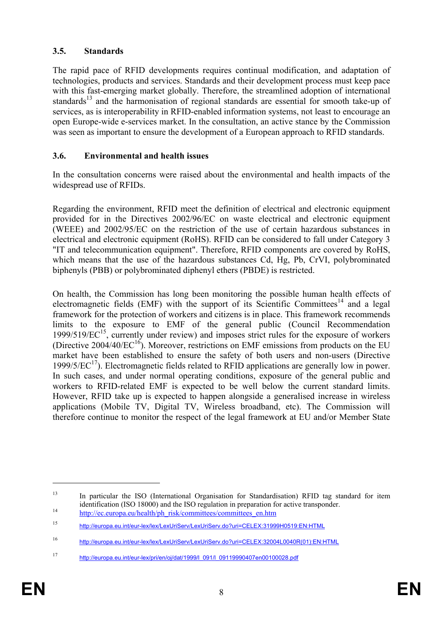#### **3.5. Standards**

The rapid pace of RFID developments requires continual modification, and adaptation of technologies, products and services. Standards and their development process must keep pace with this fast-emerging market globally. Therefore, the streamlined adoption of international standards<sup>13</sup> and the harmonisation of regional standards are essential for smooth take-up of services, as is interoperability in RFID-enabled information systems, not least to encourage an open Europe-wide e-services market. In the consultation, an active stance by the Commission was seen as important to ensure the development of a European approach to RFID standards.

### **3.6. Environmental and health issues**

In the consultation concerns were raised about the environmental and health impacts of the widespread use of RFIDs.

Regarding the environment, RFID meet the definition of electrical and electronic equipment provided for in the Directives 2002/96/EC on waste electrical and electronic equipment (WEEE) and 2002/95/EC on the restriction of the use of certain hazardous substances in electrical and electronic equipment (RoHS). RFID can be considered to fall under Category 3 "IT and telecommunication equipment". Therefore, RFID components are covered by RoHS, which means that the use of the hazardous substances Cd, Hg, Pb, CrVI, polybrominated biphenyls (PBB) or polybrominated diphenyl ethers (PBDE) is restricted.

On health, the Commission has long been monitoring the possible human health effects of electromagnetic fields (EMF) with the support of its Scientific Committees<sup>14</sup> and a legal framework for the protection of workers and citizens is in place. This framework recommends limits to the exposure to EMF of the general public (Council Recommendation  $1999/519/EC^{15}$ , currently under review) and imposes strict rules for the exposure of workers (Directive  $2004/40/EC^{16}$ ). Moreover, restrictions on EMF emissions from products on the EU market have been established to ensure the safety of both users and non-users (Directive 1999/5/ $\mathrm{EC}^{17}$ ). Electromagnetic fields related to RFID applications are generally low in power. In such cases, and under normal operating conditions, exposure of the general public and workers to RFID-related EMF is expected to be well below the current standard limits. However, RFID take up is expected to happen alongside a generalised increase in wireless applications (Mobile TV, Digital TV, Wireless broadband, etc). The Commission will therefore continue to monitor the respect of the legal framework at EU and/or Member State

<sup>&</sup>lt;sup>13</sup> In particular the ISO (International Organisation for Standardisation) RFID tag standard for item identification (ISO 18000) and the ISO regulation in preparation for active transponder.<br>
<sup>14</sup> http://ec.europa.eu/health/ph\_risk/committees/committees\_en.htm

<sup>15</sup> http://europa.eu.int/eur-lex/lex/LexUriServ/LexUriServ.do?uri=CELEX:31999H0519:EN:HTML

<sup>16</sup> http://europa.eu.int/eur-lex/lex/LexUriServ/LexUriServ.do?uri=CELEX:32004L0040R(01):EN:HTML

<sup>17</sup> http://europa.eu.int/eur-lex/pri/en/oi/dat/1999/l\_091/l\_09119990407en00100028.pdf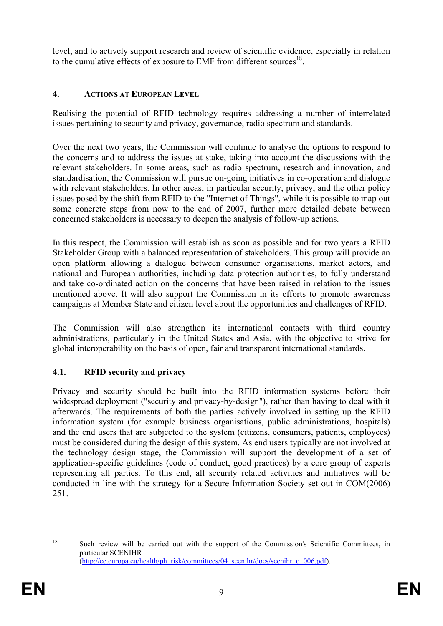level, and to actively support research and review of scientific evidence, especially in relation to the cumulative effects of exposure to EMF from different sources<sup>18</sup>.

### **4. ACTIONS AT EUROPEAN LEVEL**

Realising the potential of RFID technology requires addressing a number of interrelated issues pertaining to security and privacy, governance, radio spectrum and standards.

Over the next two years, the Commission will continue to analyse the options to respond to the concerns and to address the issues at stake, taking into account the discussions with the relevant stakeholders. In some areas, such as radio spectrum, research and innovation, and standardisation, the Commission will pursue on-going initiatives in co-operation and dialogue with relevant stakeholders. In other areas, in particular security, privacy, and the other policy issues posed by the shift from RFID to the "Internet of Things", while it is possible to map out some concrete steps from now to the end of 2007, further more detailed debate between concerned stakeholders is necessary to deepen the analysis of follow-up actions.

In this respect, the Commission will establish as soon as possible and for two years a RFID Stakeholder Group with a balanced representation of stakeholders. This group will provide an open platform allowing a dialogue between consumer organisations, market actors, and national and European authorities, including data protection authorities, to fully understand and take co-ordinated action on the concerns that have been raised in relation to the issues mentioned above. It will also support the Commission in its efforts to promote awareness campaigns at Member State and citizen level about the opportunities and challenges of RFID.

The Commission will also strengthen its international contacts with third country administrations, particularly in the United States and Asia, with the objective to strive for global interoperability on the basis of open, fair and transparent international standards.

## **4.1. RFID security and privacy**

Privacy and security should be built into the RFID information systems before their widespread deployment ("security and privacy-by-design"), rather than having to deal with it afterwards. The requirements of both the parties actively involved in setting up the RFID information system (for example business organisations, public administrations, hospitals) and the end users that are subjected to the system (citizens, consumers, patients, employees) must be considered during the design of this system. As end users typically are not involved at the technology design stage, the Commission will support the development of a set of application-specific guidelines (code of conduct, good practices) by a core group of experts representing all parties. To this end, all security related activities and initiatives will be conducted in line with the strategy for a Secure Information Society set out in COM(2006) 251.

<sup>&</sup>lt;sup>18</sup> Such review will be carried out with the support of the Commission's Scientific Committees, in particular SCENIHR (http://ec.europa.eu/health/ph\_risk/committees/04\_scenihr/docs/scenihr\_o\_006.pdf).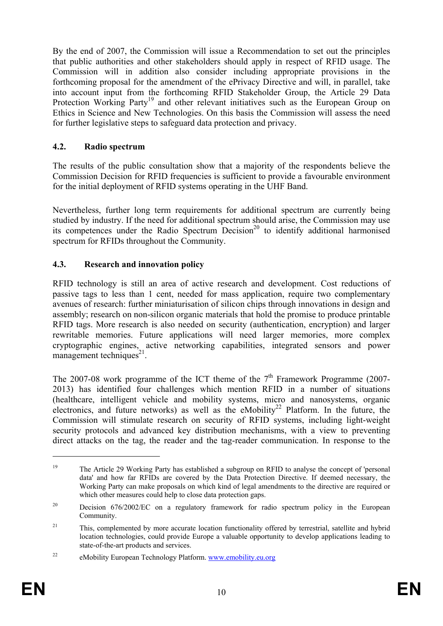By the end of 2007, the Commission will issue a Recommendation to set out the principles that public authorities and other stakeholders should apply in respect of RFID usage. The Commission will in addition also consider including appropriate provisions in the forthcoming proposal for the amendment of the ePrivacy Directive and will, in parallel, take into account input from the forthcoming RFID Stakeholder Group, the Article 29 Data Protection Working Party<sup>19</sup> and other relevant initiatives such as the European Group on Ethics in Science and New Technologies. On this basis the Commission will assess the need for further legislative steps to safeguard data protection and privacy.

## **4.2. Radio spectrum**

The results of the public consultation show that a majority of the respondents believe the Commission Decision for RFID frequencies is sufficient to provide a favourable environment for the initial deployment of RFID systems operating in the UHF Band.

Nevertheless, further long term requirements for additional spectrum are currently being studied by industry. If the need for additional spectrum should arise, the Commission may use its competences under the Radio Spectrum Decision<sup>20</sup> to identify additional harmonised spectrum for RFIDs throughout the Community.

## **4.3. Research and innovation policy**

RFID technology is still an area of active research and development. Cost reductions of passive tags to less than 1 cent, needed for mass application, require two complementary avenues of research: further miniaturisation of silicon chips through innovations in design and assembly; research on non-silicon organic materials that hold the promise to produce printable RFID tags. More research is also needed on security (authentication, encryption) and larger rewritable memories. Future applications will need larger memories, more complex cryptographic engines, active networking capabilities, integrated sensors and power management techniques $^{21}$ .

The 2007-08 work programme of the ICT theme of the  $7<sup>th</sup>$  Framework Programme (2007-2013) has identified four challenges which mention RFID in a number of situations (healthcare, intelligent vehicle and mobility systems, micro and nanosystems, organic electronics, and future networks) as well as the eMobility<sup>22</sup> Platform. In the future, the Commission will stimulate research on security of RFID systems, including light-weight security protocols and advanced key distribution mechanisms, with a view to preventing direct attacks on the tag, the reader and the tag-reader communication. In response to the

<sup>&</sup>lt;sup>19</sup> The Article 29 Working Party has established a subgroup on RFID to analyse the concept of 'personal data' and how far RFIDs are covered by the Data Protection Directive. If deemed necessary, the Working Party can make proposals on which kind of legal amendments to the directive are required or which other measures could help to close data protection gaps.

<sup>&</sup>lt;sup>20</sup> Decision 676/2002/EC on a regulatory framework for radio spectrum policy in the European Community.

<sup>&</sup>lt;sup>21</sup> This, complemented by more accurate location functionality offered by terrestrial, satellite and hybrid location technologies, could provide Europe a valuable opportunity to develop applications leading to state-of-the-art products and services.

<sup>22</sup> eMobility European Technology Platform. www.emobility.eu.org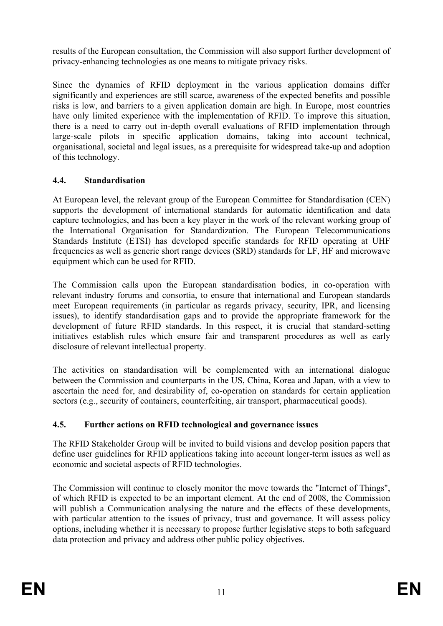results of the European consultation, the Commission will also support further development of privacy-enhancing technologies as one means to mitigate privacy risks.

Since the dynamics of RFID deployment in the various application domains differ significantly and experiences are still scarce, awareness of the expected benefits and possible risks is low, and barriers to a given application domain are high. In Europe, most countries have only limited experience with the implementation of RFID. To improve this situation, there is a need to carry out in-depth overall evaluations of RFID implementation through large-scale pilots in specific application domains, taking into account technical, organisational, societal and legal issues, as a prerequisite for widespread take-up and adoption of this technology.

## **4.4. Standardisation**

At European level, the relevant group of the European Committee for Standardisation (CEN) supports the development of international standards for automatic identification and data capture technologies, and has been a key player in the work of the relevant working group of the International Organisation for Standardization. The European Telecommunications Standards Institute (ETSI) has developed specific standards for RFID operating at UHF frequencies as well as generic short range devices (SRD) standards for LF, HF and microwave equipment which can be used for RFID.

The Commission calls upon the European standardisation bodies, in co-operation with relevant industry forums and consortia, to ensure that international and European standards meet European requirements (in particular as regards privacy, security, IPR, and licensing issues), to identify standardisation gaps and to provide the appropriate framework for the development of future RFID standards. In this respect, it is crucial that standard-setting initiatives establish rules which ensure fair and transparent procedures as well as early disclosure of relevant intellectual property.

The activities on standardisation will be complemented with an international dialogue between the Commission and counterparts in the US, China, Korea and Japan, with a view to ascertain the need for, and desirability of, co-operation on standards for certain application sectors (e.g., security of containers, counterfeiting, air transport, pharmaceutical goods).

#### **4.5. Further actions on RFID technological and governance issues**

The RFID Stakeholder Group will be invited to build visions and develop position papers that define user guidelines for RFID applications taking into account longer-term issues as well as economic and societal aspects of RFID technologies.

The Commission will continue to closely monitor the move towards the "Internet of Things", of which RFID is expected to be an important element. At the end of 2008, the Commission will publish a Communication analysing the nature and the effects of these developments, with particular attention to the issues of privacy, trust and governance. It will assess policy options, including whether it is necessary to propose further legislative steps to both safeguard data protection and privacy and address other public policy objectives.